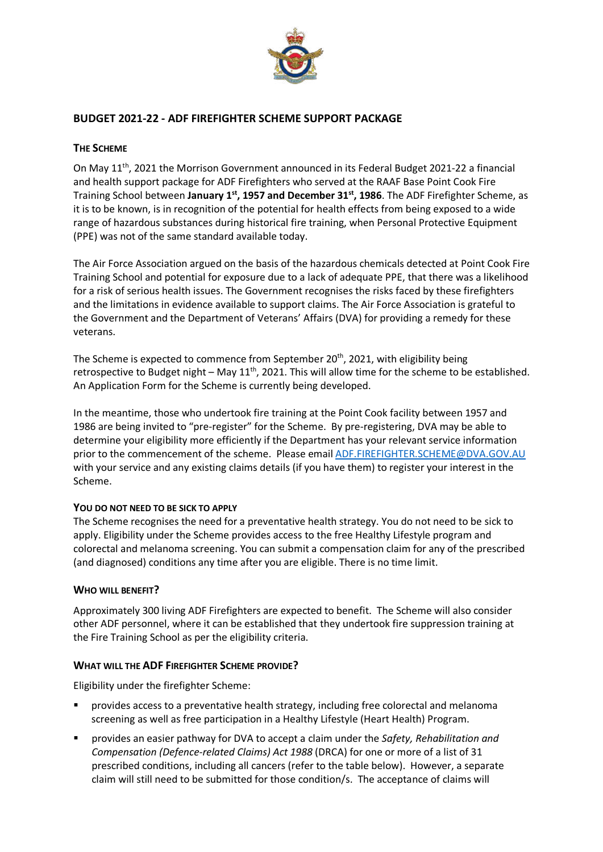

# **BUDGET 2021-22 - ADF FIREFIGHTER SCHEME SUPPORT PACKAGE**

## **THE SCHEME**

On May 11<sup>th</sup>, 2021 the Morrison Government announced in its Federal Budget 2021-22 a financial and health support package for ADF Firefighters who served at the RAAF Base Point Cook Fire Training School between **January 1st, 1957 and December 31st, 1986**. The ADF Firefighter Scheme, as it is to be known, is in recognition of the potential for health effects from being exposed to a wide range of hazardous substances during historical fire training, when Personal Protective Equipment (PPE) was not of the same standard available today.

The Air Force Association argued on the basis of the hazardous chemicals detected at Point Cook Fire Training School and potential for exposure due to a lack of adequate PPE, that there was a likelihood for a risk of serious health issues. The Government recognises the risks faced by these firefighters and the limitations in evidence available to support claims. The Air Force Association is grateful to the Government and the Department of Veterans' Affairs (DVA) for providing a remedy for these veterans.

The Scheme is expected to commence from September 20<sup>th</sup>, 2021, with eligibility being retrospective to Budget night – May  $11<sup>th</sup>$ , 2021. This will allow time for the scheme to be established. An Application Form for the Scheme is currently being developed.

In the meantime, those who undertook fire training at the Point Cook facility between 1957 and 1986 are being invited to "pre-register" for the Scheme. By pre-registering, DVA may be able to determine your eligibility more efficiently if the Department has your relevant service information prior to the commencement of the scheme. Please email ADF.FIREFIGHTER.SCHEME@DVA.GOV.AU with your service and any existing claims details (if you have them) to register your interest in the Scheme.

#### **YOU DO NOT NEED TO BE SICK TO APPLY**

The Scheme recognises the need for a preventative health strategy. You do not need to be sick to apply. Eligibility under the Scheme provides access to the free Healthy Lifestyle program and colorectal and melanoma screening. You can submit a compensation claim for any of the prescribed (and diagnosed) conditions any time after you are eligible. There is no time limit.

#### **WHO WILL BENEFIT?**

Approximately 300 living ADF Firefighters are expected to benefit. The Scheme will also consider other ADF personnel, where it can be established that they undertook fire suppression training at the Fire Training School as per the eligibility criteria.

#### **WHAT WILL THE ADF FIREFIGHTER SCHEME PROVIDE?**

Eligibility under the firefighter Scheme:

- § provides access to a preventative health strategy, including free colorectal and melanoma screening as well as free participation in a Healthy Lifestyle (Heart Health) Program.
- § provides an easier pathway for DVA to accept a claim under the *Safety, Rehabilitation and Compensation (Defence-related Claims) Act 1988* (DRCA) for one or more of a list of 31 prescribed conditions, including all cancers (refer to the table below). However, a separate claim will still need to be submitted for those condition/s. The acceptance of claims will